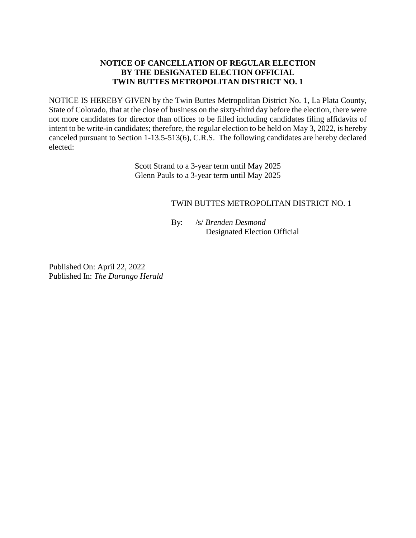## **NOTICE OF CANCELLATION OF REGULAR ELECTION BY THE DESIGNATED ELECTION OFFICIAL TWIN BUTTES METROPOLITAN DISTRICT NO. 1**

NOTICE IS HEREBY GIVEN by the Twin Buttes Metropolitan District No. 1, La Plata County, State of Colorado, that at the close of business on the sixty-third day before the election, there were not more candidates for director than offices to be filled including candidates filing affidavits of intent to be write-in candidates; therefore, the regular election to be held on May 3, 2022, is hereby canceled pursuant to Section 1-13.5-513(6), C.R.S. The following candidates are hereby declared elected:

> Scott Strand to a 3-year term until May 2025 Glenn Pauls to a 3-year term until May 2025

## TWIN BUTTES METROPOLITAN DISTRICT NO. 1

By: /s/ *Brenden Desmond* Designated Election Official

Published On: April 22, 2022 Published In: *The Durango Herald*